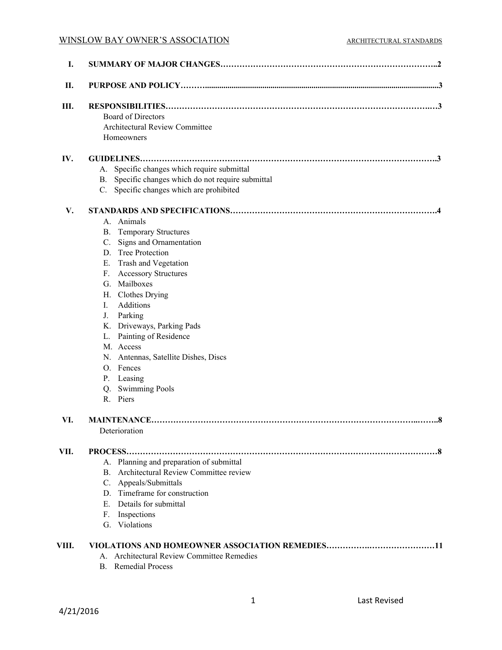# WINSLOW BAY OWNER'S ASSOCIATION ARCHITECTURAL STANDARDS

| I.    |                                                                                                                                                                                                                                                                                                                                                                                                                               |
|-------|-------------------------------------------------------------------------------------------------------------------------------------------------------------------------------------------------------------------------------------------------------------------------------------------------------------------------------------------------------------------------------------------------------------------------------|
| П.    |                                                                                                                                                                                                                                                                                                                                                                                                                               |
| Ш.    | <b>Board of Directors</b><br><b>Architectural Review Committee</b><br>Homeowners                                                                                                                                                                                                                                                                                                                                              |
| IV.   | A. Specific changes which require submittal<br>B. Specific changes which do not require submittal<br>C. Specific changes which are prohibited                                                                                                                                                                                                                                                                                 |
| V.    | Animals<br>А.<br><b>B.</b> Temporary Structures<br>Signs and Ornamentation<br>C.<br>D. Tree Protection<br>E. Trash and Vegetation<br><b>Accessory Structures</b><br>F.<br>G. Mailboxes<br>H. Clothes Drying<br>Additions<br>I.<br>Parking<br>J.<br>K. Driveways, Parking Pads<br>L. Painting of Residence<br>M. Access<br>N. Antennas, Satellite Dishes, Discs<br>O. Fences<br>P. Leasing<br>Q. Swimming Pools<br>Piers<br>R. |
| VI.   | <b>MAINTENANCE.</b><br>8.<br>Deterioration                                                                                                                                                                                                                                                                                                                                                                                    |
| VII.  | PROCESS<br>.8<br>A. Planning and preparation of submittal<br>Architectural Review Committee review<br>B.<br>C. Appeals/Submittals<br>D. Timeframe for construction<br>Details for submittal<br>Е.<br>Inspections<br>F.<br>G. Violations                                                                                                                                                                                       |
| VIII. | <b>Architectural Review Committee Remedies</b><br>$A_{-}$<br><b>Remedial Process</b><br>B.                                                                                                                                                                                                                                                                                                                                    |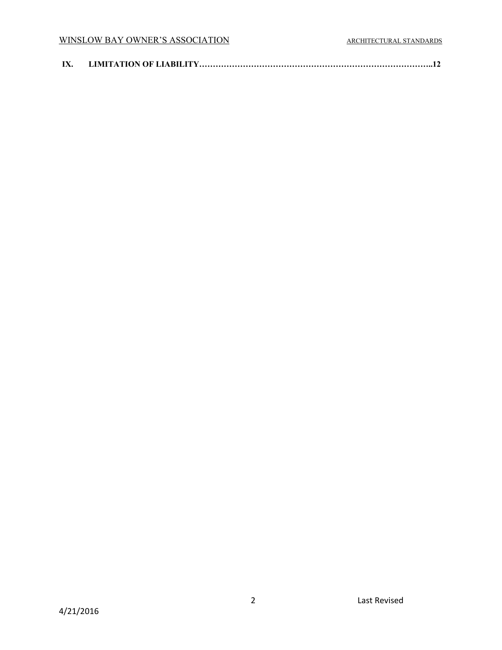| IX. |  |  |
|-----|--|--|
|-----|--|--|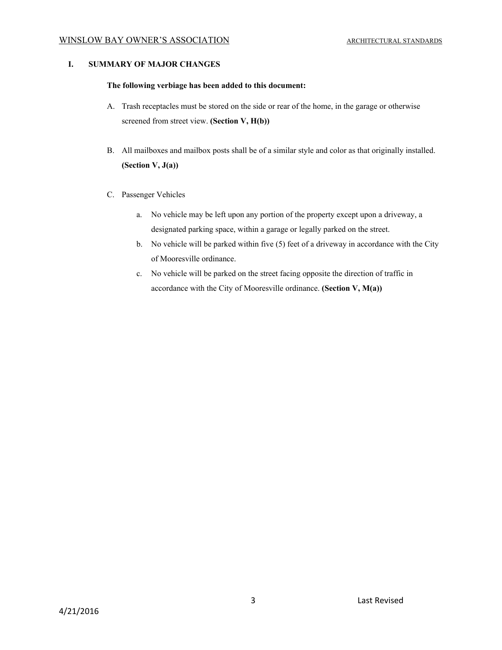# **I. SUMMARY OF MAJOR CHANGES**

#### **The following verbiage has been added to this document:**

- A. Trash receptacles must be stored on the side or rear of the home, in the garage or otherwise screened from street view. **(Section V, H(b))**
- B. All mailboxes and mailbox posts shall be of a similar style and color as that originally installed. **(Section V, J(a))**
- C. Passenger Vehicles
	- a. No vehicle may be left upon any portion of the property except upon a driveway, a designated parking space, within a garage or legally parked on the street.
	- b. No vehicle will be parked within five (5) feet of a driveway in accordance with the City of Mooresville ordinance.
	- c. No vehicle will be parked on the street facing opposite the direction of traffic in accordance with the City of Mooresville ordinance. **(Section V, M(a))**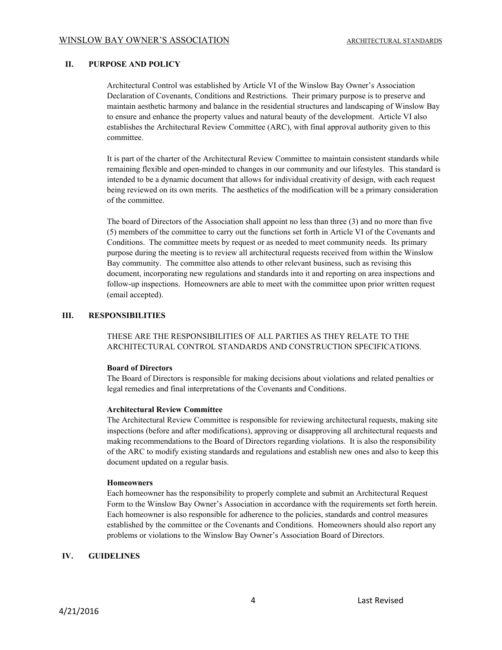#### **II. PURPOSE AND POLICY**

Architectural Control was established by Article VI of the Winslow Bay Owner's Association Declaration of Covenants, Conditions and Restrictions. Their primary purpose is to preserve and maintain aesthetic harmony and balance in the residential structures and landscaping of Winslow Bay to ensure and enhance the property values and natural beauty of the development. Article VI also establishes the Architectural Review Committee (ARC), with final approval authority given to this committee.

It is part of the charter of the Architectural Review Committee to maintain consistent standards while remaining flexible and open-minded to changes in our community and our lifestyles. This standard is intended to be a dynamic document that allows for individual creativity of design, with each request being reviewed on its own merits. The aesthetics of the modification will be a primary consideration of the committee.

The board of Directors of the Association shall appoint no less than three (3) and no more than five (5) members of the committee to carry out the functions set forth in Article VI of the Covenants and Conditions. The committee meets by request or as needed to meet community needs. Its primary purpose during the meeting is to review all architectural requests received from within the Winslow Bay community. The committee also attends to other relevant business, such as revising this document, incorporating new regulations and standards into it and reporting on area inspections and follow-up inspections. Homeowners are able to meet with the committee upon prior written request (email accepted).

#### **III. RESPONSIBILITIES**

THESE ARE THE RESPONSIBILITIES OF ALL PARTIES AS THEY RELATE TO THE ARCHITECTURAL CONTROL STANDARDS AND CONSTRUCTION SPECIFICATIONS.

#### **Board of Directors**

The Board of Directors is responsible for making decisions about violations and related penalties or legal remedies and final interpretations of the Covenants and Conditions.

#### **Architectural Review Committee**

The Architectural Review Committee is responsible for reviewing architectural requests, making site inspections (before and after modifications), approving or disapproving all architectural requests and making recommendations to the Board of Directors regarding violations. It is also the responsibility of the ARC to modify existing standards and regulations and establish new ones and also to keep this document updated on a regular basis.

#### **Homeowners**

Each homeowner has the responsibility to properly complete and submit an Architectural Request Form to the Winslow Bay Owner's Association in accordance with the requirements set forth herein. Each homeowner is also responsible for adherence to the policies, standards and control measures established by the committee or the Covenants and Conditions. Homeowners should also report any problems or violations to the Winslow Bay Owner's Association Board of Directors.

# **IV. GUIDELINES**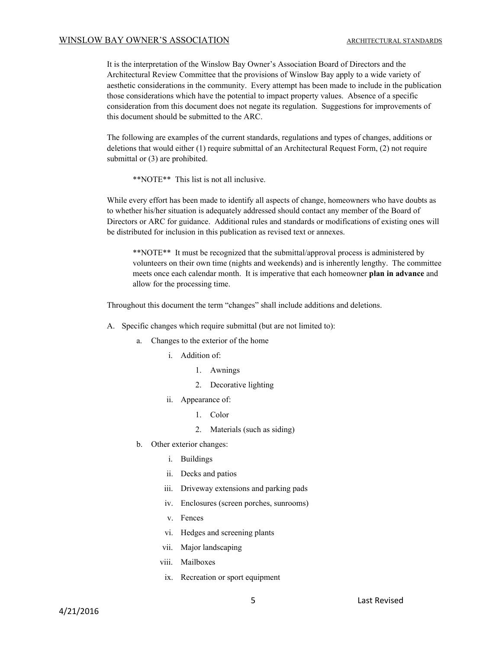#### WINSLOW BAY OWNER'S ASSOCIATION ARCHITECTURAL STANDARDS

It is the interpretation of the Winslow Bay Owner's Association Board of Directors and the Architectural Review Committee that the provisions of Winslow Bay apply to a wide variety of aesthetic considerations in the community. Every attempt has been made to include in the publication those considerations which have the potential to impact property values. Absence of a specific consideration from this document does not negate its regulation. Suggestions for improvements of this document should be submitted to the ARC.

The following are examples of the current standards, regulations and types of changes, additions or deletions that would either (1) require submittal of an Architectural Request Form, (2) not require submittal or  $(3)$  are prohibited.

\*\*NOTE\*\* This list is not all inclusive.

While every effort has been made to identify all aspects of change, homeowners who have doubts as to whether his/her situation is adequately addressed should contact any member of the Board of Directors or ARC for guidance. Additional rules and standards or modifications of existing ones will be distributed for inclusion in this publication as revised text or annexes.

\*\*NOTE\*\* It must be recognized that the submittal/approval process is administered by volunteers on their own time (nights and weekends) and is inherently lengthy. The committee meets once each calendar month. It is imperative that each homeowner **plan in advance**and allow for the processing time.

Throughout this document the term "changes" shall include additions and deletions.

- A. Specific changes which require submittal (but are not limited to):
	- a. Changes to the exterior of the home
		- i. Addition of:
			- 1. Awnings
			- 2. Decorative lighting
		- ii. Appearance of:
			- 1. Color
			- 2. Materials (such as siding)
	- b. Other exterior changes:
		- i. Buildings
		- ii. Decks and patios
		- iii. Driveway extensions and parking pads
		- iv. Enclosures (screen porches, sunrooms)
		- v. Fences
		- vi. Hedges and screening plants
		- vii. Major landscaping
		- viii. Mailboxes
		- ix. Recreation or sport equipment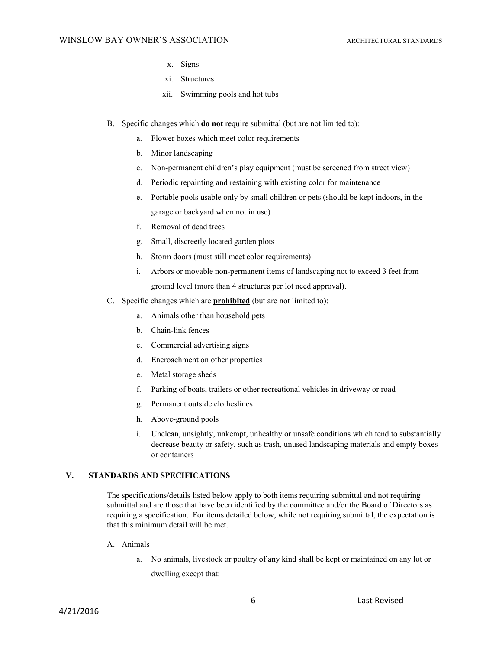- x. Signs
- xi. Structures
- xii. Swimming pools and hot tubs
- B. Specific changes which **do not**require submittal (but are not limited to):
	- a. Flower boxes which meet color requirements
	- b. Minor landscaping
	- c. Non-permanent children's play equipment (must be screened from street view)
	- d. Periodic repainting and restaining with existing color for maintenance
	- e. Portable pools usable only by small children or pets (should be kept indoors, in the garage or backyard when not in use)
	- f. Removal of dead trees
	- g. Small, discreetly located garden plots
	- h. Storm doors (must still meet color requirements)
	- i. Arbors or movable non-permanent items of landscaping not to exceed 3 feet from ground level (more than 4 structures per lot need approval).
- C. Specific changes which are **prohibited**(but are not limited to):
	- a. Animals other than household pets
	- b. Chain-link fences
	- c. Commercial advertising signs
	- d. Encroachment on other properties
	- e. Metal storage sheds
	- f. Parking of boats, trailers or other recreational vehicles in driveway or road
	- g. Permanent outside clotheslines
	- h. Above-ground pools
	- i. Unclean, unsightly, unkempt, unhealthy or unsafe conditions which tend to substantially decrease beauty or safety, such as trash, unused landscaping materials and empty boxes or containers

#### **V. STANDARDS AND SPECIFICATIONS**

The specifications/details listed below apply to both items requiring submittal and not requiring submittal and are those that have been identified by the committee and/or the Board of Directors as requiring a specification. For items detailed below, while not requiring submittal, the expectation is that this minimum detail will be met.

- A. Animals
	- a. No animals, livestock or poultry of any kind shall be kept or maintained on any lot or dwelling except that: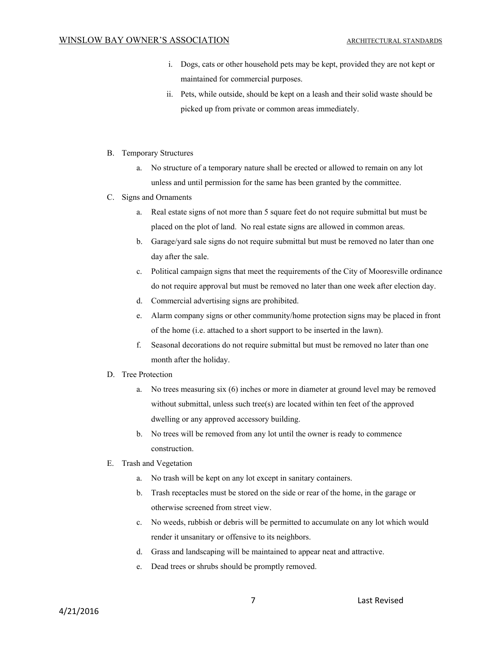- i. Dogs, cats or other household pets may be kept, provided they are not kept or maintained for commercial purposes.
- ii. Pets, while outside, should be kept on a leash and their solid waste should be picked up from private or common areas immediately.
- B. Temporary Structures
	- a. No structure of a temporary nature shall be erected or allowed to remain on any lot unless and until permission for the same has been granted by the committee.
- C. Signs and Ornaments
	- a. Real estate signs of not more than 5 square feet do not require submittal but must be placed on the plot of land. No real estate signs are allowed in common areas.
	- b. Garage/yard sale signs do not require submittal but must be removed no later than one day after the sale.
	- c. Political campaign signs that meet the requirements of the City of Mooresville ordinance do not require approval but must be removed no later than one week after election day.
	- d. Commercial advertising signs are prohibited.
	- e. Alarm company signs or other community/home protection signs may be placed in front of the home (i.e. attached to a short support to be inserted in the lawn).
	- f. Seasonal decorations do not require submittal but must be removed no later than one month after the holiday.
- D. Tree Protection
	- a. No trees measuring six (6) inches or more in diameter at ground level may be removed without submittal, unless such tree(s) are located within ten feet of the approved dwelling or any approved accessory building.
	- b. No trees will be removed from any lot until the owner is ready to commence construction.
- E. Trash and Vegetation
	- a. No trash will be kept on any lot except in sanitary containers.
	- b. Trash receptacles must be stored on the side or rear of the home, in the garage or otherwise screened from street view.
	- c. No weeds, rubbish or debris will be permitted to accumulate on any lot which would render it unsanitary or offensive to its neighbors.
	- d. Grass and landscaping will be maintained to appear neat and attractive.
	- e. Dead trees or shrubs should be promptly removed.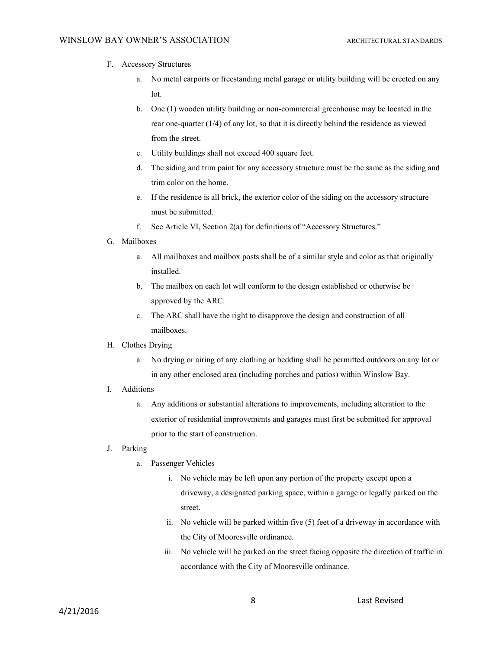- F. Accessory Structures
	- a. No metal carports or freestanding metal garage or utility building will be erected on any lot.
	- b. One  $(1)$  wooden utility building or non-commercial greenhouse may be located in the rear one-quarter  $(1/4)$  of any lot, so that it is directly behind the residence as viewed from the street.
	- c. Utility buildings shall not exceed 400 square feet.
	- d. The siding and trim paint for any accessory structure must be the same as the siding and trim color on the home.
	- e. If the residence is all brick, the exterior color of the siding on the accessory structure must be submitted.
	- f. See Article VI, Section 2(a) for definitions of "Accessory Structures."
- G. Mailboxes
	- a. All mailboxes and mailbox posts shall be of a similar style and color as that originally installed.
	- b. The mailbox on each lot will conform to the design established or otherwise be approved by the ARC.
	- c. The ARC shall have the right to disapprove the design and construction of all mailboxes.

#### H. Clothes Drying

- a. No drying or airing of any clothing or bedding shall be permitted outdoors on any lot or in any other enclosed area (including porches and patios) within Winslow Bay.
- I. Additions
	- a. Any additions or substantial alterations to improvements, including alteration to the exterior of residential improvements and garages must first be submitted for approval prior to the start of construction.
- J. Parking
	- a. Passenger Vehicles
		- i. No vehicle may be left upon any portion of the property except upon a driveway, a designated parking space, within a garage or legally parked on the street.
		- ii. No vehicle will be parked within five (5) feet of a driveway in accordance with the City of Mooresville ordinance.
		- iii. No vehicle will be parked on the street facing opposite the direction of traffic in accordance with the City of Mooresville ordinance.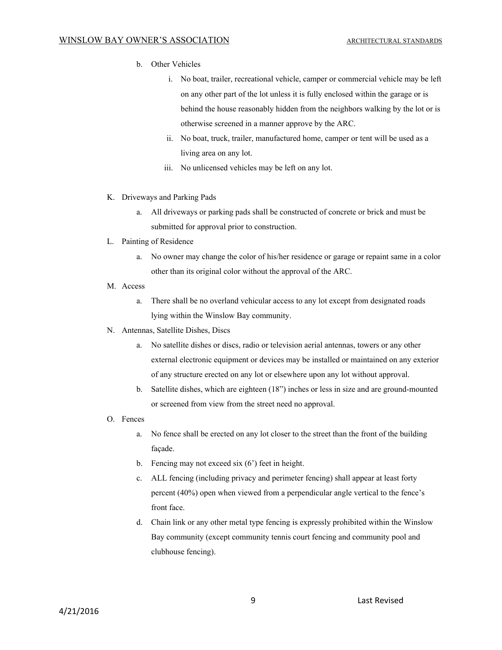- b. Other Vehicles
	- i. No boat, trailer, recreational vehicle, camper or commercial vehicle may be left on any other part of the lot unless it is fully enclosed within the garage or is behind the house reasonably hidden from the neighbors walking by the lot or is otherwise screened in a manner approve by the ARC.
	- ii. No boat, truck, trailer, manufactured home, camper or tent will be used as a living area on any lot.
	- iii. No unlicensed vehicles may be left on any lot.
- K. Driveways and Parking Pads
	- a. All driveways or parking pads shall be constructed of concrete or brick and must be submitted for approval prior to construction.
- L. Painting of Residence
	- a. No owner may change the color of his/her residence or garage or repaint same in a color other than its original color without the approval of the ARC.
- M. Access
	- a. There shall be no overland vehicular access to any lot except from designated roads lying within the Winslow Bay community.
- N. Antennas, Satellite Dishes, Discs
	- a. No satellite dishes or discs, radio or television aerial antennas, towers or any other external electronic equipment or devices may be installed or maintained on any exterior of any structure erected on any lot or elsewhere upon any lot without approval.
	- b. Satellite dishes, which are eighteen  $(18<sup>n</sup>)$  inches or less in size and are ground-mounted or screened from view from the street need no approval.
- O. Fences
	- a. No fence shall be erected on any lot closer to the street than the front of the building façade.
	- b. Fencing may not exceed six (6') feet in height.
	- c. ALL fencing (including privacy and perimeter fencing) shall appear at least forty percent (40%) open when viewed from a perpendicular angle vertical to the fence's front face.
	- d. Chain link or any other metal type fencing is expressly prohibited within the Winslow Bay community (except community tennis court fencing and community pool and clubhouse fencing).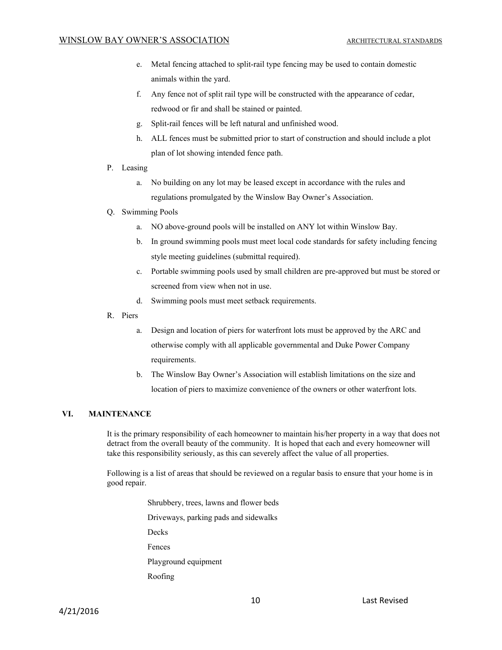- e. Metal fencing attached to split-rail type fencing may be used to contain domestic animals within the yard.
- f. Any fence not of split rail type will be constructed with the appearance of cedar, redwood or fir and shall be stained or painted.
- g. Split-rail fences will be left natural and unfinished wood.
- h. ALL fences must be submitted prior to start of construction and should include a plot plan of lot showing intended fence path.
- P. Leasing
	- a. No building on any lot may be leased except in accordance with the rules and regulations promulgated by the Winslow Bay Owner's Association.
- Q. Swimming Pools
	- a. NO above-ground pools will be installed on ANY lot within Winslow Bay.
	- b. In ground swimming pools must meet local code standards for safety including fencing style meeting guidelines (submittal required).
	- c. Portable swimming pools used by small children are pre-approved but must be stored or screened from view when not in use.
	- d. Swimming pools must meet setback requirements.
- R. Piers
	- a. Design and location of piers for waterfront lots must be approved by the ARC and otherwise comply with all applicable governmental and Duke Power Company requirements.
	- b. The Winslow Bay Owner's Association will establish limitations on the size and location of piers to maximize convenience of the owners or other waterfront lots.

#### **VI. MAINTENANCE**

It is the primary responsibility of each homeowner to maintain his/her property in a way that does not detract from the overall beauty of the community. It is hoped that each and every homeowner will take this responsibility seriously, as this can severely affect the value of all properties.

Following is a list of areas that should be reviewed on a regular basis to ensure that your home is in good repair.

> Shrubbery, trees, lawns and flower beds Driveways, parking pads and sidewalks Decks Fences Playground equipment Roofing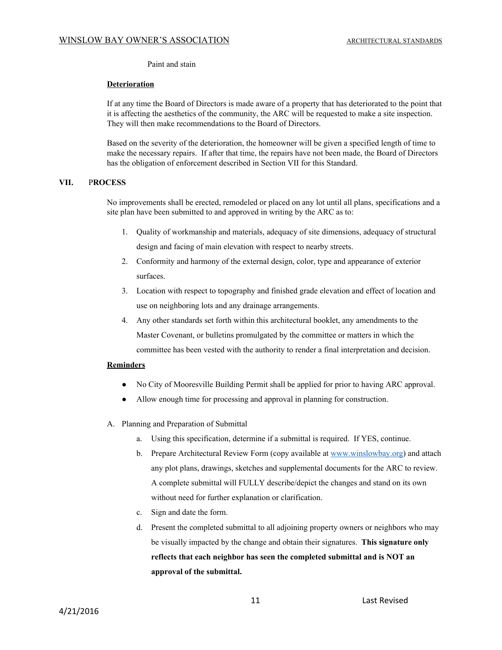#### Paint and stain

#### **Deterioration**

If at any time the Board of Directors is made aware of a property that has deteriorated to the point that it is affecting the aesthetics of the community, the ARC will be requested to make a site inspection. They will then make recommendations to the Board of Directors.

Based on the severity of the deterioration, the homeowner will be given a specified length of time to make the necessary repairs. If after that time, the repairs have not been made, the Board of Directors has the obligation of enforcement described in Section VII for this Standard.

#### **VII.** P**ROCESS**

No improvements shall be erected, remodeled or placed on any lot until all plans, specifications and a site plan have been submitted to and approved in writing by the ARC as to:

- 1. Quality of workmanship and materials, adequacy of site dimensions, adequacy of structural design and facing of main elevation with respect to nearby streets.
- 2. Conformity and harmony of the external design, color, type and appearance of exterior surfaces.
- 3. Location with respect to topography and finished grade elevation and effect of location and use on neighboring lots and any drainage arrangements.
- 4. Any other standards set forth within this architectural booklet, any amendments to the Master Covenant, or bulletins promulgated by the committee or matters in which the committee has been vested with the authority to render a final interpretation and decision.

### **Reminders**

- No City of Mooresville Building Permit shall be applied for prior to having ARC approval.
- Allow enough time for processing and approval in planning for construction.
- A. Planning and Preparation of Submittal
	- a. Using this specification, determine if a submittal is required. If YES, continue.
	- b. Prepare Architectural Review Form (copy available at www.winslowbay.org) and attach any plot plans, drawings, sketches and supplemental documents for the ARC to review. A complete submittal will FULLY describe/depict the changes and stand on its own without need for further explanation or clarification.
	- c. Sign and date the form.
	- d. Present the completed submittal to all adjoining property owners or neighbors who may be visually impacted by the change and obtain their signatures. **This signature only reflects that each neighbor has seen the completed submittal and is NOT an approval of the submittal.**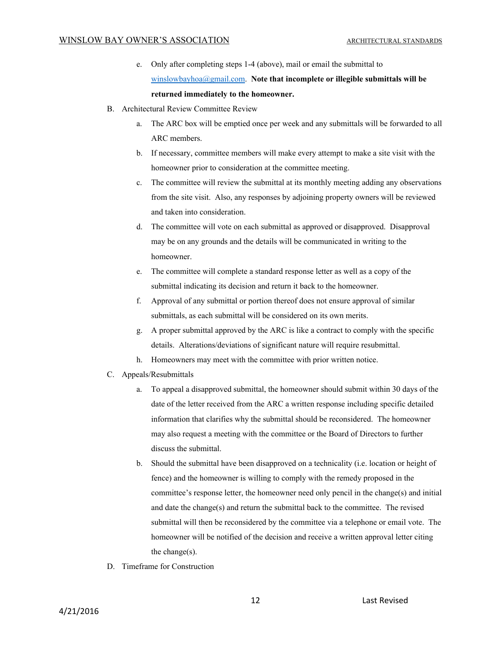- e. Only after completing steps 1-4 (above), mail or email the submittal to [winslowbayhoa@gmail.com.](mailto:winslowbayhoa@gmail.com) **Note that incomplete or illegible submittals will be returned immediately to the homeowner.**
- B. Architectural Review Committee Review
	- a. The ARC box will be emptied once per week and any submittals will be forwarded to all ARC members.
	- b. If necessary, committee members will make every attempt to make a site visit with the homeowner prior to consideration at the committee meeting.
	- c. The committee will review the submittal at its monthly meeting adding any observations from the site visit. Also, any responses by adjoining property owners will be reviewed and taken into consideration.
	- d. The committee will vote on each submittal as approved or disapproved. Disapproval may be on any grounds and the details will be communicated in writing to the homeowner.
	- e. The committee will complete a standard response letter as well as a copy of the submittal indicating its decision and return it back to the homeowner.
	- f. Approval of any submittal or portion thereof does not ensure approval of similar submittals, as each submittal will be considered on its own merits.
	- g. A proper submittal approved by the ARC is like a contract to comply with the specific details. Alterations/deviations of significant nature will require resubmittal.
	- h. Homeowners may meet with the committee with prior written notice.
- C. Appeals/Resubmittals
	- a. To appeal a disapproved submittal, the homeowner should submit within 30 days of the date of the letter received from the ARC a written response including specific detailed information that clarifies why the submittal should be reconsidered. The homeowner may also request a meeting with the committee or the Board of Directors to further discuss the submittal.
	- b. Should the submittal have been disapproved on a technicality (i.e. location or height of fence) and the homeowner is willing to comply with the remedy proposed in the committee's response letter, the homeowner need only pencil in the change(s) and initial and date the change(s) and return the submittal back to the committee. The revised submittal will then be reconsidered by the committee via a telephone or email vote. The homeowner will be notified of the decision and receive a written approval letter citing the change(s).
- D. Timeframe for Construction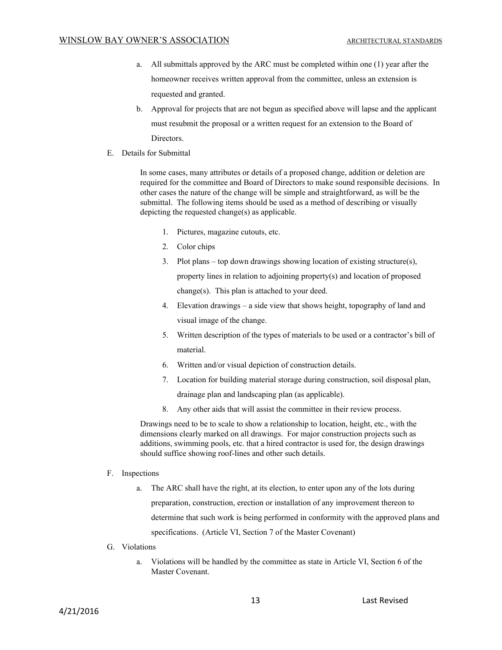- a. All submittals approved by the ARC must be completed within one (1) year after the homeowner receives written approval from the committee, unless an extension is requested and granted.
- b. Approval for projects that are not begun as specified above will lapse and the applicant must resubmit the proposal or a written request for an extension to the Board of Directors.
- E. Details for Submittal

In some cases, many attributes or details of a proposed change, addition or deletion are required for the committee and Board of Directors to make sound responsible decisions. In other cases the nature of the change will be simple and straightforward, as will be the submittal. The following items should be used as a method of describing or visually depicting the requested change(s) as applicable.

- 1. Pictures, magazine cutouts, etc.
- 2. Color chips
- 3. Plot plans top down drawings showing location of existing structure(s), property lines in relation to adjoining property(s) and location of proposed change(s). This plan is attached to your deed.
- 4. Elevation drawings a side view that shows height, topography of land and visual image of the change.
- 5. Written description of the types of materials to be used or a contractor's bill of material.
- 6. Written and/or visual depiction of construction details.
- 7. Location for building material storage during construction, soil disposal plan, drainage plan and landscaping plan (as applicable).
- 8. Any other aids that will assist the committee in their review process.

Drawings need to be to scale to show a relationship to location, height, etc., with the dimensions clearly marked on all drawings. For major construction projects such as additions, swimming pools, etc. that a hired contractor is used for, the design drawings should suffice showing roof-lines and other such details.

- F. Inspections
	- a. The ARC shall have the right, at its election, to enter upon any of the lots during preparation, construction, erection or installation of any improvement thereon to determine that such work is being performed in conformity with the approved plans and specifications. (Article VI, Section 7 of the Master Covenant)
- G. Violations
	- a. Violations will be handled by the committee as state in Article VI, Section 6 of the Master Covenant.